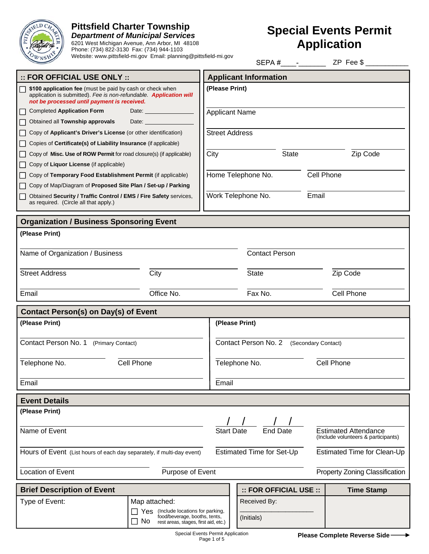

# **Pittsfield Charter Township**

*Department of Municipal Services*  6201 West Michigan Avenue, Ann Arbor, MI 48108 Phone: (734) 822-3130 Fax: (734) 944-1103 Website: www.pittsfield-mi.gov Email: planning@pittsfield-mi.gov

# **Special Events Permit Application**

|                                                                                                                                                                                |                    |                                             | SEPA#                        |              | ZP Fee \$                                                          |
|--------------------------------------------------------------------------------------------------------------------------------------------------------------------------------|--------------------|---------------------------------------------|------------------------------|--------------|--------------------------------------------------------------------|
| $::$ FOR OFFICIAL USE ONLY $::$                                                                                                                                                |                    |                                             | <b>Applicant Information</b> |              |                                                                    |
| \$100 application fee (must be paid by cash or check when<br>application is submitted). Fee is non-refundable. Application will<br>not be processed until payment is received. |                    | (Please Print)                              |                              |              |                                                                    |
| <b>Completed Application Form</b>                                                                                                                                              | Date: <b>Date:</b> | <b>Applicant Name</b>                       |                              |              |                                                                    |
| Obtained all Township approvals                                                                                                                                                | Date:              |                                             |                              |              |                                                                    |
| Copy of Applicant's Driver's License (or other identification)                                                                                                                 |                    | <b>Street Address</b>                       |                              |              |                                                                    |
| Copies of Certificate(s) of Liability Insurance (if applicable)                                                                                                                |                    |                                             |                              |              |                                                                    |
| Copy of Misc. Use of ROW Permit for road closure(s) (if applicable)                                                                                                            |                    | City                                        |                              | <b>State</b> | Zip Code                                                           |
| Copy of Liquor License (if applicable)                                                                                                                                         |                    |                                             |                              |              |                                                                    |
| Copy of Temporary Food Establishment Permit (if applicable)                                                                                                                    |                    |                                             | Home Telephone No.           | Cell Phone   |                                                                    |
| Copy of Map/Diagram of Proposed Site Plan / Set-up / Parking                                                                                                                   |                    |                                             |                              |              |                                                                    |
| Obtained Security / Traffic Control / EMS / Fire Safety services,<br>as required. (Circle all that apply.)                                                                     |                    | Work Telephone No.<br>Email                 |                              |              |                                                                    |
| <b>Organization / Business Sponsoring Event</b>                                                                                                                                |                    |                                             |                              |              |                                                                    |
| (Please Print)                                                                                                                                                                 |                    |                                             |                              |              |                                                                    |
|                                                                                                                                                                                |                    |                                             |                              |              |                                                                    |
| Name of Organization / Business                                                                                                                                                |                    |                                             | <b>Contact Person</b>        |              |                                                                    |
|                                                                                                                                                                                |                    |                                             |                              |              |                                                                    |
| <b>Street Address</b>                                                                                                                                                          | City               |                                             | <b>State</b>                 |              | Zip Code                                                           |
| Email                                                                                                                                                                          | Office No.         | Fax No.                                     |                              |              | Cell Phone                                                         |
|                                                                                                                                                                                |                    |                                             |                              |              |                                                                    |
| <b>Contact Person(s) on Day(s) of Event</b>                                                                                                                                    |                    |                                             |                              |              |                                                                    |
| (Please Print)                                                                                                                                                                 |                    | (Please Print)                              |                              |              |                                                                    |
|                                                                                                                                                                                |                    |                                             |                              |              |                                                                    |
| Contact Person No. 1 (Primary Contact)                                                                                                                                         |                    | Contact Person No. 2<br>(Secondary Contact) |                              |              |                                                                    |
| Telephone No.<br>Cell Phone                                                                                                                                                    |                    | Telephone No.<br>Cell Phone                 |                              |              |                                                                    |
|                                                                                                                                                                                |                    |                                             |                              |              |                                                                    |
| Email                                                                                                                                                                          |                    | Email                                       |                              |              |                                                                    |
|                                                                                                                                                                                |                    |                                             |                              |              |                                                                    |
| <b>Event Details</b>                                                                                                                                                           |                    |                                             |                              |              |                                                                    |
| (Please Print)                                                                                                                                                                 |                    |                                             |                              |              |                                                                    |
|                                                                                                                                                                                |                    |                                             | <b>End Date</b>              |              |                                                                    |
| Name of Event                                                                                                                                                                  |                    | <b>Start Date</b>                           |                              |              | <b>Estimated Attendance</b><br>(Include volunteers & participants) |
| Hours of Event (List hours of each day separately, if multi-day event)                                                                                                         |                    | Estimated Time for Set-Up                   |                              |              | Estimated Time for Clean-Up                                        |
|                                                                                                                                                                                |                    |                                             |                              |              |                                                                    |
| Location of Event<br>Purpose of Event                                                                                                                                          |                    |                                             |                              |              | <b>Property Zoning Classification</b>                              |
|                                                                                                                                                                                |                    |                                             |                              |              |                                                                    |
| <b>Brief Description of Event</b>                                                                                                                                              |                    |                                             | :: FOR OFFICIAL USE ::       |              | <b>Time Stamp</b>                                                  |
| Type of Event:<br>Map attached:                                                                                                                                                |                    |                                             | Received By:                 |              |                                                                    |
| Yes (Include locations for parking,<br>food/beverage, booths, tents,                                                                                                           |                    |                                             |                              |              |                                                                    |
| (Initials)<br>No<br>rest areas, stages, first aid, etc.)                                                                                                                       |                    |                                             |                              |              |                                                                    |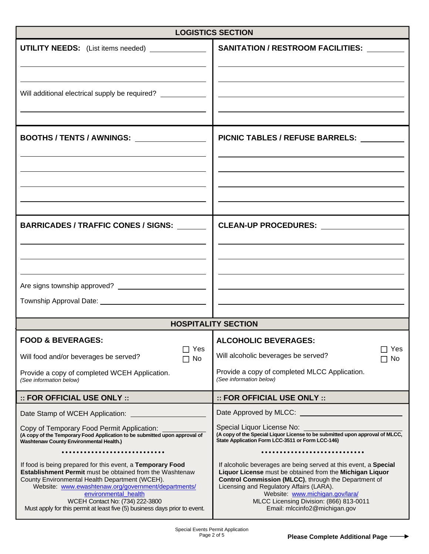| <b>LOGISTICS SECTION</b>                                                                                                                                                                                                                                                                                                                                                        |                                                                                                                                                                                                                                                                                                                                                 |  |  |  |
|---------------------------------------------------------------------------------------------------------------------------------------------------------------------------------------------------------------------------------------------------------------------------------------------------------------------------------------------------------------------------------|-------------------------------------------------------------------------------------------------------------------------------------------------------------------------------------------------------------------------------------------------------------------------------------------------------------------------------------------------|--|--|--|
| UTILITY NEEDS: (List items needed) ______________                                                                                                                                                                                                                                                                                                                               | <b>SANITATION / RESTROOM FACILITIES:</b>                                                                                                                                                                                                                                                                                                        |  |  |  |
| Will additional electrical supply be required? _______________                                                                                                                                                                                                                                                                                                                  |                                                                                                                                                                                                                                                                                                                                                 |  |  |  |
| BOOTHS / TENTS / AWNINGS: University of the Society of Tennes                                                                                                                                                                                                                                                                                                                   | PICNIC TABLES / REFUSE BARRELS:                                                                                                                                                                                                                                                                                                                 |  |  |  |
| <b>BARRICADES / TRAFFIC CONES / SIGNS:</b>                                                                                                                                                                                                                                                                                                                                      | CLEAN-UP PROCEDURES: _________________                                                                                                                                                                                                                                                                                                          |  |  |  |
|                                                                                                                                                                                                                                                                                                                                                                                 |                                                                                                                                                                                                                                                                                                                                                 |  |  |  |
|                                                                                                                                                                                                                                                                                                                                                                                 | <b>HOSPITALITY SECTION</b>                                                                                                                                                                                                                                                                                                                      |  |  |  |
| <b>FOOD &amp; BEVERAGES:</b>                                                                                                                                                                                                                                                                                                                                                    | <b>ALCOHOLIC BEVERAGES:</b>                                                                                                                                                                                                                                                                                                                     |  |  |  |
| $\sqsupset$ Yes<br>Will food and/or beverages be served?<br>No                                                                                                                                                                                                                                                                                                                  | Yes<br>Will alcoholic beverages be served?<br>No                                                                                                                                                                                                                                                                                                |  |  |  |
| Provide a copy of completed WCEH Application.<br>(See information below)                                                                                                                                                                                                                                                                                                        | Provide a copy of completed MLCC Application.<br>(See information below)                                                                                                                                                                                                                                                                        |  |  |  |
| :: FOR OFFICIAL USE ONLY ::                                                                                                                                                                                                                                                                                                                                                     | :: FOR OFFICIAL USE ONLY ::                                                                                                                                                                                                                                                                                                                     |  |  |  |
| Date Stamp of WCEH Application:                                                                                                                                                                                                                                                                                                                                                 | Date Approved by MLCC: <u>____________________</u>                                                                                                                                                                                                                                                                                              |  |  |  |
| Copy of Temporary Food Permit Application:<br>(A copy of the Temporary Food Application to be submitted upon approval of<br><b>Washtenaw County Environmental Health.)</b>                                                                                                                                                                                                      | Special Liquor License No:<br>(A copy of the Special Liquor License to be submitted upon approval of MLCC,<br>State Application Form LCC-3511 or Form LCC-146)                                                                                                                                                                                  |  |  |  |
| If food is being prepared for this event, a Temporary Food<br><b>Establishment Permit</b> must be obtained from the Washtenaw<br>County Environmental Health Department (WCEH).<br>Website: www.ewashtenaw.org/government/departments/<br>environmental_health<br>WCEH Contact No: (734) 222-3800<br>Must apply for this permit at least five (5) business days prior to event. | If alcoholic beverages are being served at this event, a Special<br>Liquor License must be obtained from the Michigan Liquor<br>Control Commission (MLCC), through the Department of<br>Licensing and Regulatory Affairs (LARA).<br>Website: www.michigan.gov/lara/<br>MLCC Licensing Division: (866) 813-0011<br>Email: mlccinfo2@michigan.gov |  |  |  |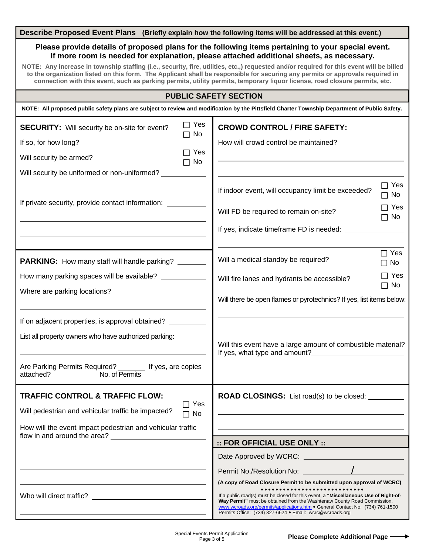### **Describe Proposed Event Plans (Briefly explain how the following items will be addressed at this event.)**

## **Please provide details of proposed plans for the following items pertaining to your special event. If more room is needed for explanation, please attached additional sheets, as necessary.**

**NOTE: Any increase in township staffing (i.e., security, fire, utilities, etc.,) requested and/or required for this event will be billed to the organization listed on this form. The Applicant shall be responsible for securing any permits or approvals required in connection with this event, such as parking permits, utility permits, temporary liquor license, road closure permits, etc.**

## **PUBLIC SAFETY SECTION**

| NOTE: All proposed public safety plans are subject to review and modification by the Pittsfield Charter Township Department of Public Safety. |                         |                                                                                                                                                                                                                                                                                                                   |                         |  |
|-----------------------------------------------------------------------------------------------------------------------------------------------|-------------------------|-------------------------------------------------------------------------------------------------------------------------------------------------------------------------------------------------------------------------------------------------------------------------------------------------------------------|-------------------------|--|
| <b>SECURITY:</b> Will security be on-site for event?                                                                                          | $\Box$ Yes<br>$\Box$ No | <b>CROWD CONTROL / FIRE SAFETY:</b>                                                                                                                                                                                                                                                                               |                         |  |
| If so, for how long?                                                                                                                          |                         | How will crowd control be maintained?                                                                                                                                                                                                                                                                             |                         |  |
| Will security be armed?                                                                                                                       | $\Box$ Yes<br>$\Box$ No |                                                                                                                                                                                                                                                                                                                   |                         |  |
| Will security be uniformed or non-uniformed? __________                                                                                       |                         |                                                                                                                                                                                                                                                                                                                   |                         |  |
|                                                                                                                                               |                         | If indoor event, will occupancy limit be exceeded?                                                                                                                                                                                                                                                                | $\Box$ Yes<br>$\Box$ No |  |
| If private security, provide contact information: __________                                                                                  |                         | Will FD be required to remain on-site?                                                                                                                                                                                                                                                                            | □ Yes<br>$\Box$ No      |  |
|                                                                                                                                               |                         | If yes, indicate timeframe FD is needed:                                                                                                                                                                                                                                                                          |                         |  |
|                                                                                                                                               |                         |                                                                                                                                                                                                                                                                                                                   |                         |  |
| <b>PARKING:</b> How many staff will handle parking?                                                                                           |                         | Will a medical standby be required?                                                                                                                                                                                                                                                                               | $\Box$ Yes<br>$\Box$ No |  |
| How many parking spaces will be available? ____________                                                                                       |                         | Will fire lanes and hydrants be accessible?                                                                                                                                                                                                                                                                       | $\Box$ Yes<br>$\Box$ No |  |
| Where are parking locations?<br><u> Where are parking locations?</u>                                                                          |                         | Will there be open flames or pyrotechnics? If yes, list items below:                                                                                                                                                                                                                                              |                         |  |
|                                                                                                                                               |                         |                                                                                                                                                                                                                                                                                                                   |                         |  |
| If on adjacent properties, is approval obtained? _______                                                                                      |                         |                                                                                                                                                                                                                                                                                                                   |                         |  |
| List all property owners who have authorized parking: ______                                                                                  |                         | Will this event have a large amount of combustible material?                                                                                                                                                                                                                                                      |                         |  |
|                                                                                                                                               |                         | If yes, what type and amount?<br><u>If</u> yes, what type and amount?                                                                                                                                                                                                                                             |                         |  |
| Are Parking Permits Required? ________ If yes, are copies<br>attached? No. of Permits                                                         |                         |                                                                                                                                                                                                                                                                                                                   |                         |  |
| <b>TRAFFIC CONTROL &amp; TRAFFIC FLOW:</b>                                                                                                    |                         | <b>ROAD CLOSINGS:</b> List road(s) to be closed:                                                                                                                                                                                                                                                                  |                         |  |
| Will pedestrian and vehicular traffic be impacted?                                                                                            | $\Box$ Yes<br>$\Box$ No |                                                                                                                                                                                                                                                                                                                   |                         |  |
| How will the event impact pedestrian and vehicular traffic                                                                                    |                         |                                                                                                                                                                                                                                                                                                                   |                         |  |
| flow in and around the area?                                                                                                                  |                         | :: FOR OFFICIAL USE ONLY ::                                                                                                                                                                                                                                                                                       |                         |  |
|                                                                                                                                               |                         | Date Approved by WCRC:                                                                                                                                                                                                                                                                                            |                         |  |
|                                                                                                                                               |                         | Permit No./Resolution No:                                                                                                                                                                                                                                                                                         |                         |  |
|                                                                                                                                               |                         | (A copy of Road Closure Permit to be submitted upon approval of WCRC)                                                                                                                                                                                                                                             |                         |  |
| Who will direct traffic?                                                                                                                      |                         | .<br>If a public road(s) must be closed for this event, a "Miscellaneous Use of Right-of-<br>Way Permit" must be obtained from the Washtenaw County Road Commission.<br>www.wcroads.org/permits/applications.htm • General Contact No: (734) 761-1500<br>Permits Office: (734) 327-6624 · Email: wcrc@wcroads.org |                         |  |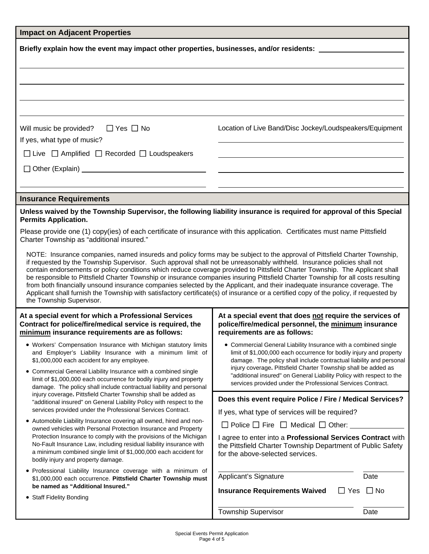| <b>Impact on Adjacent Properties</b>                                                                                                                                                                                                                                                                                                                                                                                                                                                                                                                                                                                                                                                                                                                                                                                                                                                                                                                                                                                                                                                                                                                          |                                                                                                                                                                                                                                                                                                                                                                                                                                                                                                                                                                            |  |  |  |
|---------------------------------------------------------------------------------------------------------------------------------------------------------------------------------------------------------------------------------------------------------------------------------------------------------------------------------------------------------------------------------------------------------------------------------------------------------------------------------------------------------------------------------------------------------------------------------------------------------------------------------------------------------------------------------------------------------------------------------------------------------------------------------------------------------------------------------------------------------------------------------------------------------------------------------------------------------------------------------------------------------------------------------------------------------------------------------------------------------------------------------------------------------------|----------------------------------------------------------------------------------------------------------------------------------------------------------------------------------------------------------------------------------------------------------------------------------------------------------------------------------------------------------------------------------------------------------------------------------------------------------------------------------------------------------------------------------------------------------------------------|--|--|--|
| Briefly explain how the event may impact other properties, businesses, and/or residents:                                                                                                                                                                                                                                                                                                                                                                                                                                                                                                                                                                                                                                                                                                                                                                                                                                                                                                                                                                                                                                                                      |                                                                                                                                                                                                                                                                                                                                                                                                                                                                                                                                                                            |  |  |  |
|                                                                                                                                                                                                                                                                                                                                                                                                                                                                                                                                                                                                                                                                                                                                                                                                                                                                                                                                                                                                                                                                                                                                                               |                                                                                                                                                                                                                                                                                                                                                                                                                                                                                                                                                                            |  |  |  |
| $\Box$ Yes $\Box$ No<br>Will music be provided?<br>If yes, what type of music?<br>$\Box$ Live $\Box$ Amplified $\Box$ Recorded $\Box$ Loudspeakers                                                                                                                                                                                                                                                                                                                                                                                                                                                                                                                                                                                                                                                                                                                                                                                                                                                                                                                                                                                                            | Location of Live Band/Disc Jockey/Loudspeakers/Equipment                                                                                                                                                                                                                                                                                                                                                                                                                                                                                                                   |  |  |  |
|                                                                                                                                                                                                                                                                                                                                                                                                                                                                                                                                                                                                                                                                                                                                                                                                                                                                                                                                                                                                                                                                                                                                                               |                                                                                                                                                                                                                                                                                                                                                                                                                                                                                                                                                                            |  |  |  |
| <b>Insurance Requirements</b>                                                                                                                                                                                                                                                                                                                                                                                                                                                                                                                                                                                                                                                                                                                                                                                                                                                                                                                                                                                                                                                                                                                                 |                                                                                                                                                                                                                                                                                                                                                                                                                                                                                                                                                                            |  |  |  |
| Unless waived by the Township Supervisor, the following liability insurance is required for approval of this Special<br><b>Permits Application.</b><br>Please provide one (1) copy(ies) of each certificate of insurance with this application. Certificates must name Pittsfield<br>Charter Township as "additional insured."<br>NOTE: Insurance companies, named insureds and policy forms may be subject to the approval of Pittsfield Charter Township,<br>if requested by the Township Supervisor. Such approval shall not be unreasonably withheld. Insurance policies shall not<br>contain endorsements or policy conditions which reduce coverage provided to Pittsfield Charter Township. The Applicant shall<br>be responsible to Pittsfield Charter Township or insurance companies insuring Pittsfield Charter Township for all costs resulting<br>from both financially unsound insurance companies selected by the Applicant, and their inadequate insurance coverage. The<br>Applicant shall furnish the Township with satisfactory certificate(s) of insurance or a certified copy of the policy, if requested by<br>the Township Supervisor. |                                                                                                                                                                                                                                                                                                                                                                                                                                                                                                                                                                            |  |  |  |
| At a special event for which a Professional Services<br>Contract for police/fire/medical service is required, the<br>minimum insurance requirements are as follows:<br>• Workers' Compensation Insurance with Michigan statutory limits<br>and Employer's Liability Insurance with a minimum limit of<br>\$1,000,000 each accident for any employee.<br>• Commercial General Liability Insurance with a combined single<br>limit of \$1,000,000 each occurrence for bodily injury and property<br>damage. The policy shall include contractual liability and personal                                                                                                                                                                                                                                                                                                                                                                                                                                                                                                                                                                                         | At a special event that does not require the services of<br>police/fire/medical personnel, the minimum insurance<br>requirements are as follows:<br>• Commercial General Liability Insurance with a combined single<br>limit of \$1,000,000 each occurrence for bodily injury and property<br>damage. The policy shall include contractual liability and personal<br>injury coverage. Pittsfield Charter Township shall be added as<br>"additional insured" on General Liability Policy with respect to the<br>services provided under the Professional Services Contract. |  |  |  |
| injury coverage. Pittsfield Charter Township shall be added as<br>"additional insured" on General Liability Policy with respect to the<br>services provided under the Professional Services Contract.<br>• Automobile Liability Insurance covering all owned, hired and non-<br>owned vehicles with Personal Protection Insurance and Property<br>Protection Insurance to comply with the provisions of the Michigan<br>No-Fault Insurance Law, including residual liability insurance with<br>a minimum combined single limit of \$1,000,000 each accident for<br>bodily injury and property damage.<br>· Professional Liability Insurance coverage with a minimum of<br>\$1,000,000 each occurrence. Pittsfield Charter Township must<br>be named as "Additional Insured."<br>• Staff Fidelity Bonding                                                                                                                                                                                                                                                                                                                                                      | Does this event require Police / Fire / Medical Services?<br>If yes, what type of services will be required?<br>$\Box$ Police $\Box$ Fire $\Box$ Medical $\Box$ Other:<br>I agree to enter into a Professional Services Contract with<br>the Pittsfield Charter Township Department of Public Safety<br>for the above-selected services.<br>Applicant's Signature<br>Date<br>$\Box$ Yes $\Box$ No<br><b>Insurance Requirements Waived</b><br><b>Township Supervisor</b><br>Date                                                                                            |  |  |  |